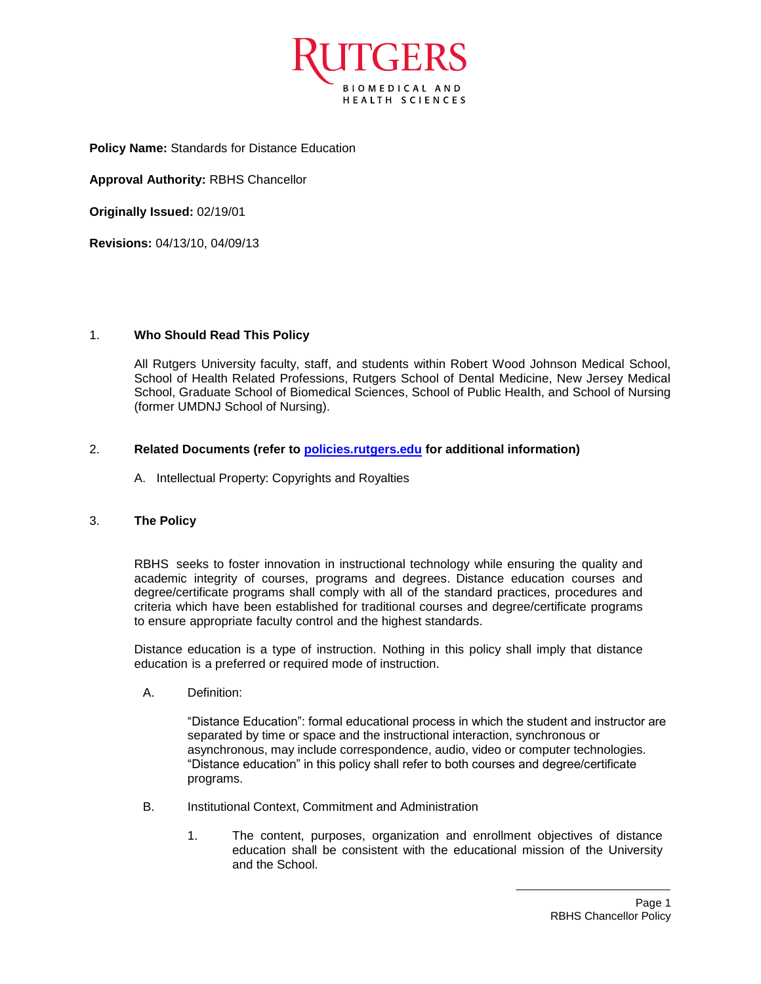

**Policy Name:** Standards for Distance Education

**Approval Authority:** RBHS Chancellor

**Originally Issued:** 02/19/01

**Revisions:** 04/13/10, 04/09/13

## 1. **Who Should Read This Policy**

All Rutgers University faculty, staff, and students within Robert Wood Johnson Medical School, School of Health Related Professions, Rutgers School of Dental Medicine, New Jersey Medical School, Graduate School of Biomedical Sciences, School of Public Health, and School of Nursing (former UMDNJ School of Nursing).

## 2. **Related Documents (refer to<policies.rutgers.edu> for additional information)**

A. Intellectual Property: Copyrights and Royalties

## 3. **The Policy**

RBHS seeks to foster innovation in instructional technology while ensuring the quality and academic integrity of courses, programs and degrees. Distance education courses and degree/certificate programs shall comply with all of the standard practices, procedures and criteria which have been established for traditional courses and degree/certificate programs to ensure appropriate faculty control and the highest standards.

Distance education is a type of instruction. Nothing in this policy shall imply that distance education is a preferred or required mode of instruction.

A. Definition:

"Distance Education": formal educational process in which the student and instructor are separated by time or space and the instructional interaction, synchronous or asynchronous, may include correspondence, audio, video or computer technologies. "Distance education" in this policy shall refer to both courses and degree/certificate programs.

- B. Institutional Context, Commitment and Administration
	- 1. The content, purposes, organization and enrollment objectives of distance education shall be consistent with the educational mission of the University and the School.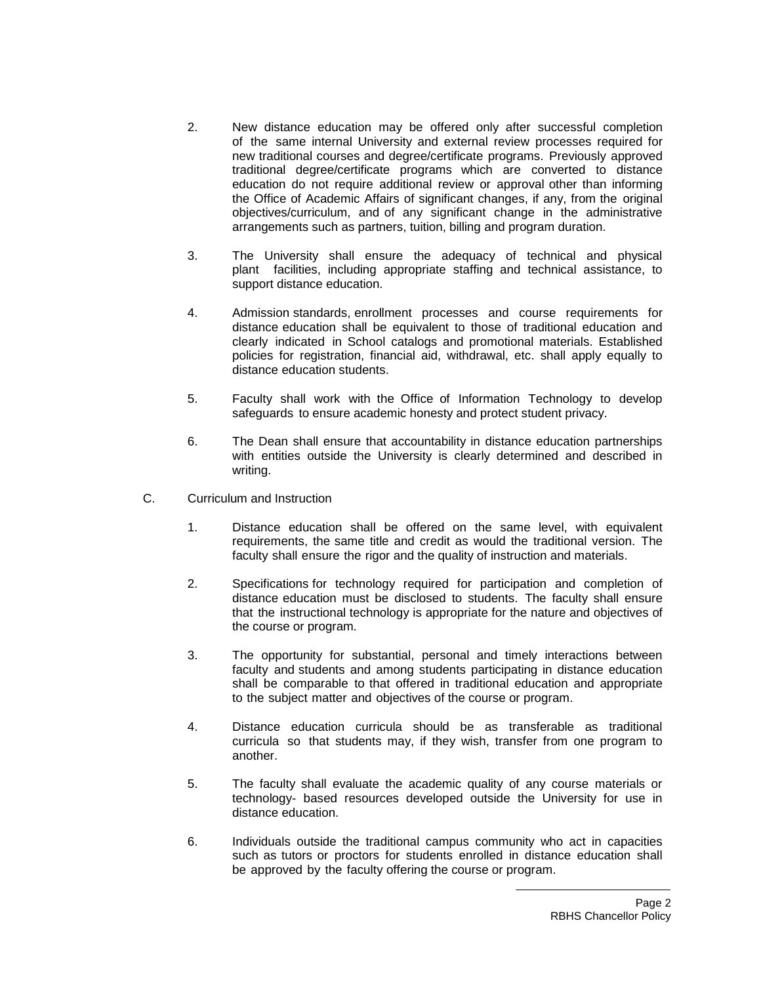- 2. New distance education may be offered only after successful completion of the same internal University and external review processes required for new traditional courses and degree/certificate programs. Previously approved traditional degree/certificate programs which are converted to distance education do not require additional review or approval other than informing the Office of Academic Affairs of significant changes, if any, from the original objectives/curriculum, and of any significant change in the administrative arrangements such as partners, tuition, billing and program duration.
- 3. The University shall ensure the adequacy of technical and physical plant facilities, including appropriate staffing and technical assistance, to support distance education.
- 4. Admission standards, enrollment processes and course requirements for distance education shall be equivalent to those of traditional education and clearly indicated in School catalogs and promotional materials. Established policies for registration, financial aid, withdrawal, etc. shall apply equally to distance education students.
- 5. Faculty shall work with the Office of Information Technology to develop safeguards to ensure academic honesty and protect student privacy.
- 6. The Dean shall ensure that accountability in distance education partnerships with entities outside the University is clearly determined and described in writing.
- C. Curriculum and Instruction
	- 1. Distance education shall be offered on the same level, with equivalent requirements, the same title and credit as would the traditional version. The faculty shall ensure the rigor and the quality of instruction and materials.
	- 2. Specifications for technology required for participation and completion of distance education must be disclosed to students. The faculty shall ensure that the instructional technology is appropriate for the nature and objectives of the course or program.
	- 3. The opportunity for substantial, personal and timely interactions between faculty and students and among students participating in distance education shall be comparable to that offered in traditional education and appropriate to the subject matter and objectives of the course or program.
	- 4. Distance education curricula should be as transferable as traditional curricula so that students may, if they wish, transfer from one program to another.
	- 5. The faculty shall evaluate the academic quality of any course materials or technology- based resources developed outside the University for use in distance education.
	- 6. Individuals outside the traditional campus community who act in capacities such as tutors or proctors for students enrolled in distance education shall be approved by the faculty offering the course or program.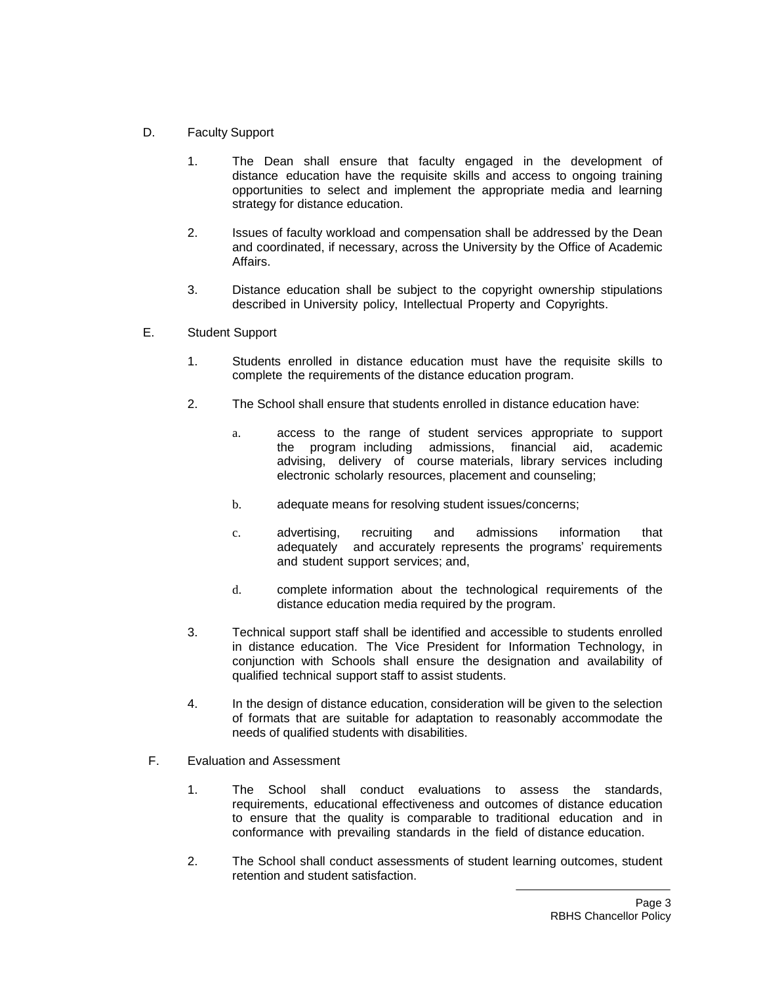- D. Faculty Support
	- 1. The Dean shall ensure that faculty engaged in the development of distance education have the requisite skills and access to ongoing training opportunities to select and implement the appropriate media and learning strategy for distance education.
	- 2. Issues of faculty workload and compensation shall be addressed by the Dean and coordinated, if necessary, across the University by the Office of Academic Affairs.
	- 3. Distance education shall be subject to the copyright ownership stipulations described in University policy, Intellectual Property and Copyrights.
- E. Student Support
	- 1. Students enrolled in distance education must have the requisite skills to complete the requirements of the distance education program.
	- 2. The School shall ensure that students enrolled in distance education have:
		- a. access to the range of student services appropriate to support the program including admissions, financial aid, academic advising, delivery of course materials, library services including electronic scholarly resources, placement and counseling;
		- b. adequate means for resolving student issues/concerns;
		- c. advertising, recruiting and admissions information that adequately and accurately represents the programs' requirements and student support services; and,
		- d. complete information about the technological requirements of the distance education media required by the program.
	- 3. Technical support staff shall be identified and accessible to students enrolled in distance education. The Vice President for Information Technology, in conjunction with Schools shall ensure the designation and availability of qualified technical support staff to assist students.
	- 4. In the design of distance education, consideration will be given to the selection of formats that are suitable for adaptation to reasonably accommodate the needs of qualified students with disabilities.
- F. Evaluation and Assessment
	- 1. The School shall conduct evaluations to assess the standards, requirements, educational effectiveness and outcomes of distance education to ensure that the quality is comparable to traditional education and in conformance with prevailing standards in the field of distance education.
	- 2. The School shall conduct assessments of student learning outcomes, student retention and student satisfaction.